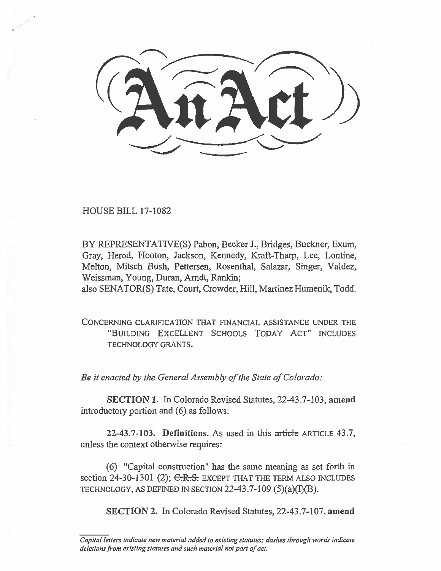HOUSE BILL 17-1082

BY REPRESENTATIVE(S) Pabon, Becker J., Bridges, Buckner, Exum, Gray, Herod, Hooton, Jackson, Kennedy, Kraft-Tharp, Lee, Lontine, Melton, Mitsch Bush, Pettersen, Rosenthal, Salazar, Singer, Valdez, Weissman, Young, Duran, Arndt, Rankin;

also SENATOR(S) Tate, Court, Crowder, Hill, Martinez Humenik, Todd.

CONCERNING CLARIFICATION THAT FINANCIAL ASSISTANCE UNDER THE "BUILDING EXCELLENT SCHOOLS TODAY ACT" INCLUDES TECHNOLOGY GRANTS.

*Be it enacted by the General Assembly of the State of Colorado:* 

SECTION 1. In Colorado Revised Statutes, 22-43.7-103, amend introductory portion and (6) as follows:

22-43.7-103. Definitions. As used in this article ARTICLE 43.7, unless the context otherwise requires:

(6) "Capital construction" has the same meaning as set forth in section  $24-30-1301$  (2); C.R.S. EXCEPT THAT THE TERM ALSO INCLUDES TECHNOLOGY, AS DEFINED IN SECTION 22-43.7-109  $(5)(a)(I)(B)$ .

SECTION 2. In Colorado Revised Statutes, 22-43.7-107, amend

*Capital letters indicate new material added to existing statutes; dashes through words indicate deletions from existing statutes and such material not part of act.*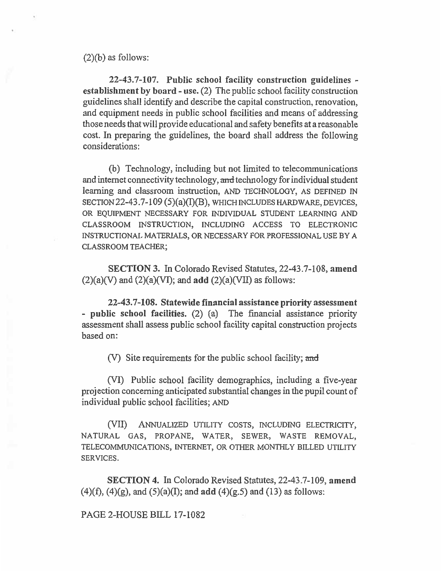$(2)(b)$  as follows:

**22-43.7-107. Public school facility construction guidelines establishment by board - use. (2)** The public school facility construction guidelines shall identify and describe the capital construction, renovation, and equipment needs in public school facilities and means of addressing those needs that will provide educational and safety benefits at a reasonable cost. In preparing the guidelines, the board shall address the following considerations:

(b) Technology, including but not limited to telecommunications and internet connectivity technology, and technology for individual student learning and classroom instruction, AND TECHNOLOGY, AS DEFINED IN SECTION **22-43.7-109 (5)(a)(1)(8),** WHICH INCLUDES HARDWARE, DEVICES, OR EQUIPMENT NECESSARY FOR INDIVIDUAL STUDENT LEARNING AND CLASSROOM INSTRUCTION, INCLUDING ACCESS TO ELECTRONIC INSTRUCTIONAL MATERIALS, OR NECESSARY FOR PROFESSIONAL USE BY A CLASSROOM TEACHER;

**SECTION 3. In Colorado Revised Statutes, 22-43.7-108, amend (2)(a)(V) and (2)(a)(VI); and add (2)(a)(VII) as follows:** 

**22-43.7-108. Statewide financial assistance priority assessment - public school facilities. (2) (a) The financial assistance priority assessment shall assess public school facility capital construction projects based on:** 

**(V) Site requirements for the public school facility; and** 

**(VI) Public school facility demographics, including a five-year projection concerning anticipated substantial changes in the pupil count of individual public school facilities;** AND

(VII) ANNUALIZED UTILITY COSTS, INCLUDING ELECTRICITY, NATURAL GAS, PROPANE, WATER, SEWER, WASTE REMOVAL, TELECOMMUNICATIONS, INTERNET, OR OTHER MONTHLY BILLED UTILITY SERVICES.

**SECTION 4. In Colorado Revised Statutes, 22-43.7-109, amend (4)(f), (4)(g), and (5)(a)(I); and add (4)(g.5) and (13) as follows:** 

**PAGE 2-HOUSE BELL 17-1082**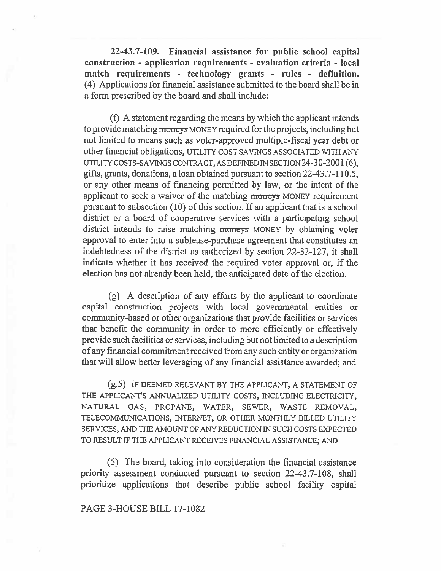**22-43.7-109. Financial assistance for public school capital construction - application requirements - evaluation criteria - local match requirements - technology grants - rules - definition.**  (4) Applications for financial assistance submitted to the board shall be in a form prescribed by the board and shall include:

(f) A statement regarding the means by which the applicant intends to provide matching moneys MONEY required for the projects, including but not limited to means such as voter-approved multiple-fiscal year debt or other financial obligations, UTILITY COST SAVINGS ASSOCIATED WITH ANY UTILITY COSTS-SAVINGS CONTRACT, AS DEFINED IN SECTION 24-30-2001 (6), gifts, grants, donations, a loan obtained pursuant to section 22-43.7-110.5, or any other means of financing permitted by law, or the intent **of the applicant** to seek a waiver of the matching moneys MONEY requirement pursuant to subsection (10) of this section. If an applicant that is a school district or a board of cooperative services with a participating school district intends to raise matching moneys MONEY by obtaining voter approval to enter into a sublease-purchase agreement that constitutes an indebtedness of the district as authorized by section 22-32-127, it shall indicate whether it has received the required voter approval or, if the election has not already been held, the anticipated date of the election.

(g) A description of any efforts by the applicant to coordinate capital construction projects with local governmental entities or community-based or other organizations that provide facilities or services that benefit the community in order to more efficiently or effectively provide such facilities or services, including but not limited to a description of any financial commitment received from any such entity or organization that will allow better leveraging of any financial assistance awarded; and

(g.5) IF DEEMED RELEVANT BY THE APPLICANT, A STATEMENT OF THE APPLICANT'S ANNUALIZED UTILITY COSTS, INCLUDING ELECTRICITY, NATURAL GAS, PROPANE, WATER, SEWER, WASTE REMOVAL, TELECOMMUNICATIONS, INTERNET, OR OTHER MONTHLY BILLED UTILITY SERVICES, AND THE AMOUNT OF ANY REDUCTION IN SUCH COSTS EXPECTED TO RESULT IF THE APPLICANT RECEIVES FINANCIAL ASSISTANCE; AND

(5) The board, taking into consideration the financial assistance priority assessment conducted pursuant to section 22-43.7-108, shall prioritize applications that describe public school facility capital

## PAGE 3-HOUSE BILL 17-1082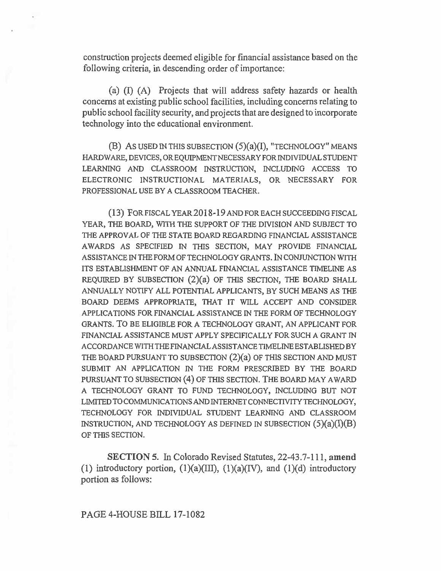construction projects deemed eligible for financial assistance based on the following criteria, in descending order of importance:

(a) (I) (A) Projects that will address safety hazards or health concerns at existing public school facilities, including concerns relating to public school facility security, and projects that are designed to incorporate technology into the educational environment.

 $(B)$  As used in this subsection  $(5)(a)(I)$ , "technology" means HARDWARE, DEVICES, OR EQULPMENT NECESSARY FOR INDIVIDUAL STUDENT LEARNING AND CLASSROOM INSTRUCTION, INCLUDING ACCESS TO ELECTRONIC INSTRUCTIONAL MATERIALS, OR NECESSARY FOR PROFESSIONAL USE BY A CLASSROOM TEACHER.

(13) FOR FISCAL YEAR 2018-19 AND FOR EACH SUCCEEDING FISCAL YEAR, THE BOARD, WITH THE SUPPORT OF THE DIVISION AND SUBJECT TO THE APPROVAL OF THE STATE BOARD REGARDING FINANCIAL ASSISTANCE AWARDS AS SPECIFIED IN THIS SECTION, MAY PROVIDE FINANCIAL ASSISTANCE IN THE FORM OF TECHNOLOGY GRANTS. IN CONJUNCTION WITH ITS ESTABLISHMENT OF AN ANNUAL FINANCIAL ASSISTANCE TIMELINE AS REQUIRED BY SUBSECTION (2)(a) OF THIS SECTION, THE BOARD SHALL ANNUALLY NOTIFY ALL POTENTIAL APPLICANTS, BY SUCH MEANS AS THE BOARD DEEMS APPROPRIATE, THAT IT WILL ACCEPT AND CONSIDER APPLICATIONS FOR FINANCIAL ASSISTANCE IN THE FORM OF TECHNOLOGY GRANTS. TO BE ELIGIBLE FOR A TECHNOLOGY GRANT, AN APPLICANT FOR FINANCIAL ASSISTANCE MUST APPLY SPECIFICALLY FOR SUCH A GRANT IN ACCORDANCE WITH THE FINANCIAL ASSISTANCE TIMELINE ESTABLISHED BY THE BOARD PURSUANT TO SUBSECTION (2)(a) OF THIS SECTION AND MUST SUBMIT AN APPLICATION IN THE FORM PRESCRIBED BY THE BOARD PURSUANT TO SUBSECTION (4) OF THIS SECTION. THE BOARD MAY AWARD A TECHNOLOGY GRANT TO FUND TECHNOLOGY, INCLUDING BUT NOT LIMITED TO COMMUNICATIONS AND INTERNET CONNECTIVITY TECHNOLOGY, TECHNOLOGY FOR INDIVIDUAL STUDENT LEARNING AND CLASSROOM INSTRUCTION, AND TECHNOLOGY AS DEFINED IN SUBSECTION  $(5)(a)(I)(B)$ OF THIS SECTION.

**SECTION 5.** In Colorado Revised Statutes, 22-43.7-111, **amend**  (1) introductory portion,  $(1)(a)(III)$ ,  $(1)(a)(IV)$ , and  $(1)(d)$  introductory portion as follows: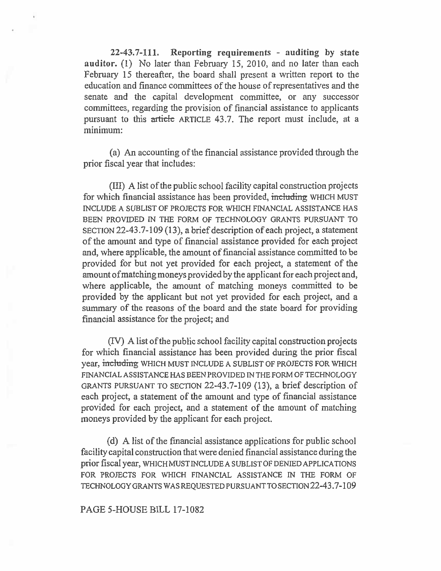**22-43.7-111. Reporting requirements - auditing by state auditor.** (1) No later than February 15, 2010, and no later than each February 15 thereafter, the board shall present a written report to the education and finance committees of the house of representatives and the senate and the capital development committee, or any successor committees, regarding the provision of financial assistance to applicants pursuant to this article ARTICLE 43.7. The report must include, at a minimum:

(a) An accounting of the financial assistance provided through the prior fiscal year that includes:

(III) A list of the public school facility capital construction projects for which financial assistance has been provided, including WHICH MUST INCLUDE A SUBLIST OF PROJECTS FOR WHICH FINANCIAL ASSISTANCE HAS BEEN PROVIDED IN THE FORM OF TECHNOLOGY GRANTS PURSUANT TO SECTION 22-43.7-109 (13), a brief description of each project, a statement of the amount and type of financial assistance provided for each project and, where applicable, the amount of financial assistance committed to be provided for but not yet provided for each project, a statement of the amount of matching moneys provided by the applicant for each project and, where applicable, the amount of matching moneys committed to be provided by the applicant but not yet provided for each project, and a summary of the reasons of the board and the state board for providing financial assistance for the project; and

(IV) A list of the public school facility capital construction projects for which financial assistance has been provided during the prior fiscal year, including WHICH MUST INCLUDE A SUBLIST OF PROJECTS FOR WHICH FINANCIAL ASSISTANCE HAS BEEN PROVIDED IN THE FORM OF TECHNOLOGY GRANTS PURSUANT TO SECTION 22-43.7-109 (13), a brief description of each project, a statement of the amount and type of financial assistance provided for each project, and a statement of the amount of matching moneys provided by the applicant for each project.

(d) A list of the financial assistance applications for public school facility capital construction that were denied financial assistance during the prior fiscal year, WHICH MUST INCLUDE A SUBLIST OF DENIED APPLICATIONS FOR PROJECTS FOR WHICH FINANCIAL ASSISTANCE IN THE FORM OF TECHNOLOGY GRANTS WAS REQUESTED PURSUANT TO SECTION 22-43.7-109

## PAGE 5-HOUSE BILL 17-1082